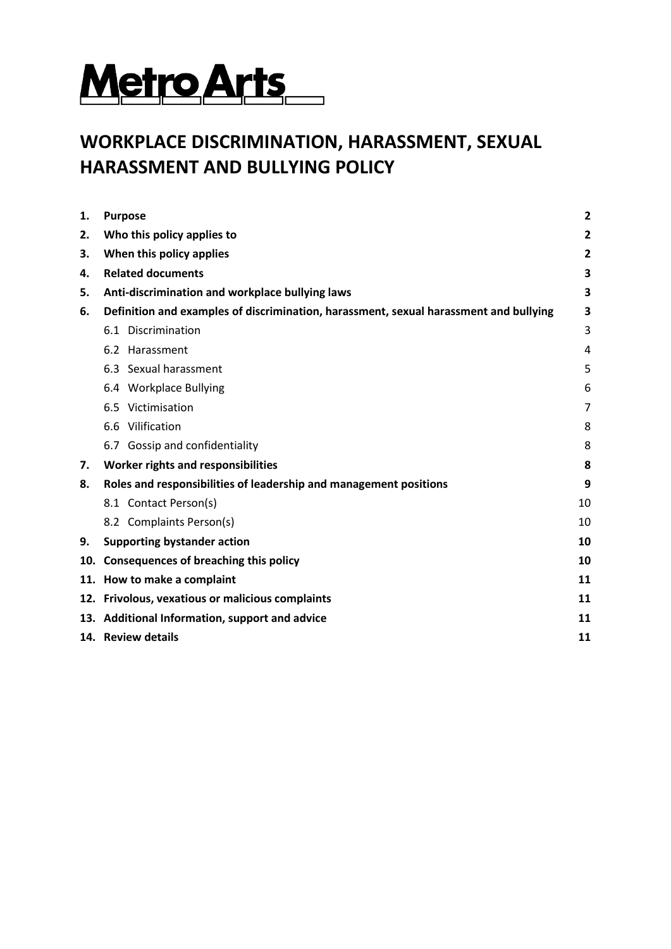

# **WORKPLACE DISCRIMINATION, HARASSMENT, SEXUAL HARASSMENT AND BULLYING POLICY**

| 1.  | <b>Purpose</b>                                                                        | $\overline{2}$          |
|-----|---------------------------------------------------------------------------------------|-------------------------|
| 2.  | Who this policy applies to                                                            | $\overline{\mathbf{c}}$ |
| 3.  | When this policy applies                                                              | $\overline{\mathbf{2}}$ |
| 4.  | <b>Related documents</b>                                                              | 3                       |
| 5.  | Anti-discrimination and workplace bullying laws                                       | 3                       |
| 6.  | Definition and examples of discrimination, harassment, sexual harassment and bullying | 3                       |
|     | 6.1 Discrimination                                                                    | 3                       |
|     | 6.2 Harassment                                                                        | 4                       |
|     | 6.3 Sexual harassment                                                                 | 5                       |
|     | 6.4 Workplace Bullying                                                                | 6                       |
|     | 6.5 Victimisation                                                                     | 7                       |
|     | 6.6 Vilification                                                                      | 8                       |
|     | 6.7 Gossip and confidentiality                                                        | 8                       |
| 7.  | Worker rights and responsibilities                                                    | 8                       |
| 8.  | Roles and responsibilities of leadership and management positions                     | 9                       |
|     | 8.1 Contact Person(s)                                                                 | 10                      |
|     | 8.2 Complaints Person(s)                                                              | 10                      |
| 9.  | <b>Supporting bystander action</b>                                                    | 10                      |
| 10. | <b>Consequences of breaching this policy</b>                                          | 10                      |
|     | 11. How to make a complaint                                                           | 11                      |
|     | 12. Frivolous, vexatious or malicious complaints                                      | 11                      |
|     | 13. Additional Information, support and advice                                        | 11                      |
|     | 14. Review details                                                                    | 11                      |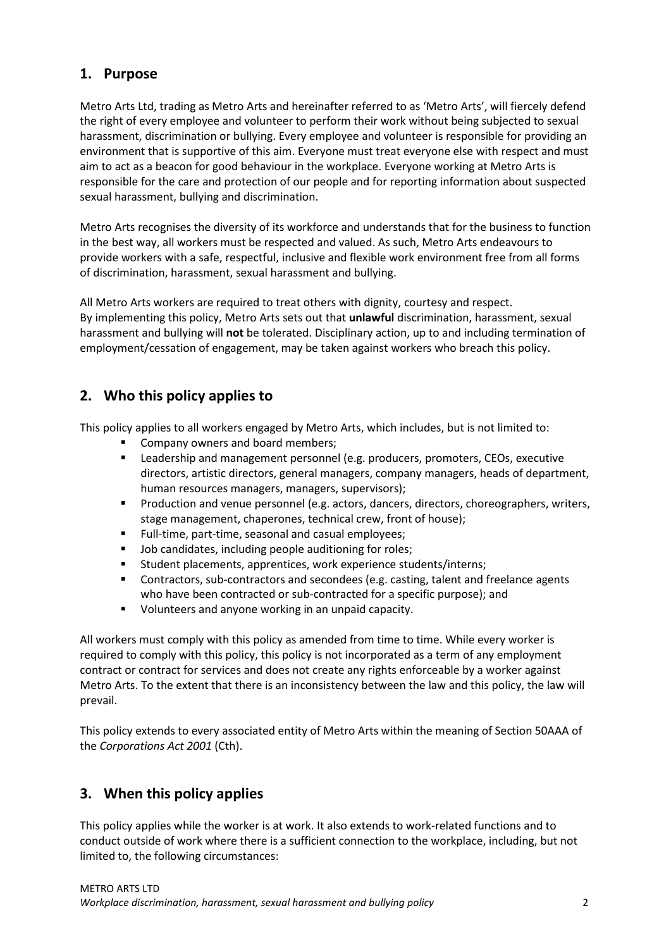### **1. Purpose**

Metro Arts Ltd, trading as Metro Arts and hereinafter referred to as 'Metro Arts', will fiercely defend the right of every employee and volunteer to perform their work without being subjected to sexual harassment, discrimination or bullying. Every employee and volunteer is responsible for providing an environment that is supportive of this aim. Everyone must treat everyone else with respect and must aim to act as a beacon for good behaviour in the workplace. Everyone working at Metro Arts is responsible for the care and protection of our people and for reporting information about suspected sexual harassment, bullying and discrimination.

Metro Arts recognises the diversity of its workforce and understands that for the business to function in the best way, all workers must be respected and valued. As such, Metro Arts endeavours to provide workers with a safe, respectful, inclusive and flexible work environment free from all forms of discrimination, harassment, sexual harassment and bullying.

All Metro Arts workers are required to treat others with dignity, courtesy and respect. By implementing this policy, Metro Arts sets out that **unlawful** discrimination, harassment, sexual harassment and bullying will **not** be tolerated. Disciplinary action, up to and including termination of employment/cessation of engagement, may be taken against workers who breach this policy.

# **2. Who this policy applies to**

This policy applies to all workers engaged by Metro Arts, which includes, but is not limited to:

- Company owners and board members;
- **EXECTER 1** Leadership and management personnel (e.g. producers, promoters, CEOs, executive directors, artistic directors, general managers, company managers, heads of department, human resources managers, managers, supervisors);
- **Production and venue personnel (e.g. actors, dancers, directors, choreographers, writers, 4** stage management, chaperones, technical crew, front of house);
- Full-time, part-time, seasonal and casual employees;
- **Job candidates, including people auditioning for roles;**
- Student placements, apprentices, work experience students/interns;
- **Contractors, sub-contractors and secondees (e.g. casting, talent and freelance agents** who have been contracted or sub-contracted for a specific purpose); and
- **•** Volunteers and anyone working in an unpaid capacity.

All workers must comply with this policy as amended from time to time. While every worker is required to comply with this policy, this policy is not incorporated as a term of any employment contract or contract for services and does not create any rights enforceable by a worker against Metro Arts. To the extent that there is an inconsistency between the law and this policy, the law will prevail.

This policy extends to every associated entity of Metro Arts within the meaning of Section 50AAA of the *Corporations Act 2001* (Cth).

# **3. When this policy applies**

This policy applies while the worker is at work. It also extends to work-related functions and to conduct outside of work where there is a sufficient connection to the workplace, including, but not limited to, the following circumstances: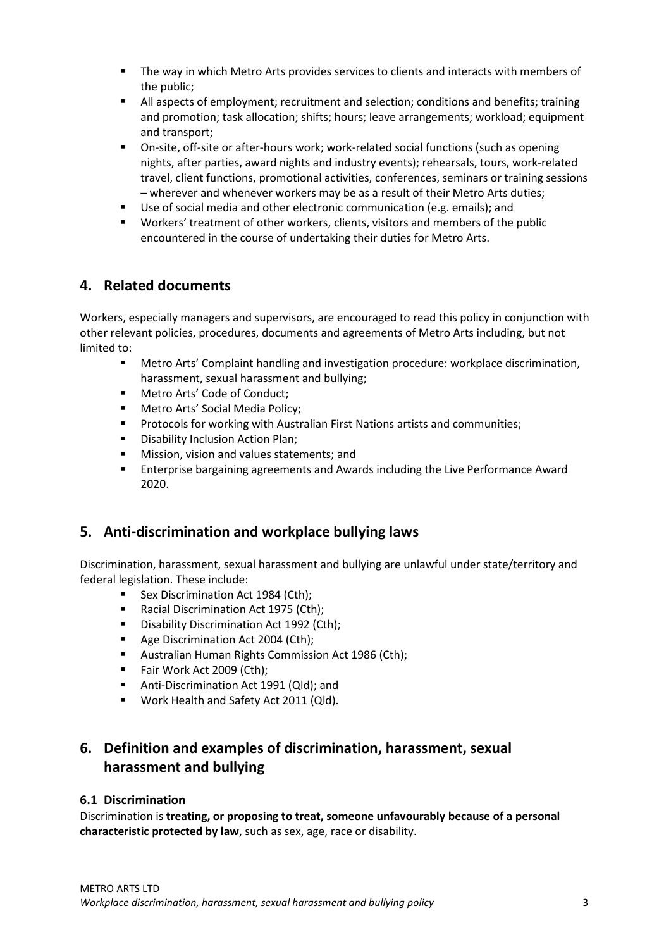- The way in which Metro Arts provides services to clients and interacts with members of the public;
- All aspects of employment; recruitment and selection; conditions and benefits; training and promotion; task allocation; shifts; hours; leave arrangements; workload; equipment and transport;
- On-site, off-site or after-hours work; work-related social functions (such as opening nights, after parties, award nights and industry events); rehearsals, tours, work-related travel, client functions, promotional activities, conferences, seminars or training sessions – wherever and whenever workers may be as a result of their Metro Arts duties;
- Use of social media and other electronic communication (e.g. emails); and
- Workers' treatment of other workers, clients, visitors and members of the public encountered in the course of undertaking their duties for Metro Arts.

# **4. Related documents**

Workers, especially managers and supervisors, are encouraged to read this policy in conjunction with other relevant policies, procedures, documents and agreements of Metro Arts including, but not limited to:

- Metro Arts' Complaint handling and investigation procedure: workplace discrimination, harassment, sexual harassment and bullying;
- Metro Arts' Code of Conduct;
- **Metro Arts' Social Media Policy;**
- **Protocols for working with Australian First Nations artists and communities;**
- **•** Disability Inclusion Action Plan;
- **Mission, vision and values statements; and**
- Enterprise bargaining agreements and Awards including the Live Performance Award 2020.

### **5. Anti-discrimination and workplace bullying laws**

Discrimination, harassment, sexual harassment and bullying are unlawful under state/territory and federal legislation. These include:

- Sex Discrimination Act 1984 (Cth);
- Racial Discrimination Act 1975 (Cth);
- Disability Discrimination Act 1992 (Cth);
- Age Discrimination Act 2004 (Cth);
- **Australian Human Rights Commission Act 1986 (Cth);**
- Fair Work Act 2009 (Cth);
- **Anti-Discrimination Act 1991 (Qld); and**
- **Work Health and Safety Act 2011 (Qld).**

# **6. Definition and examples of discrimination, harassment, sexual harassment and bullying**

#### **6.1 Discrimination**

Discrimination is **treating, or proposing to treat, someone unfavourably because of a personal characteristic protected by law**, such as sex, age, race or disability.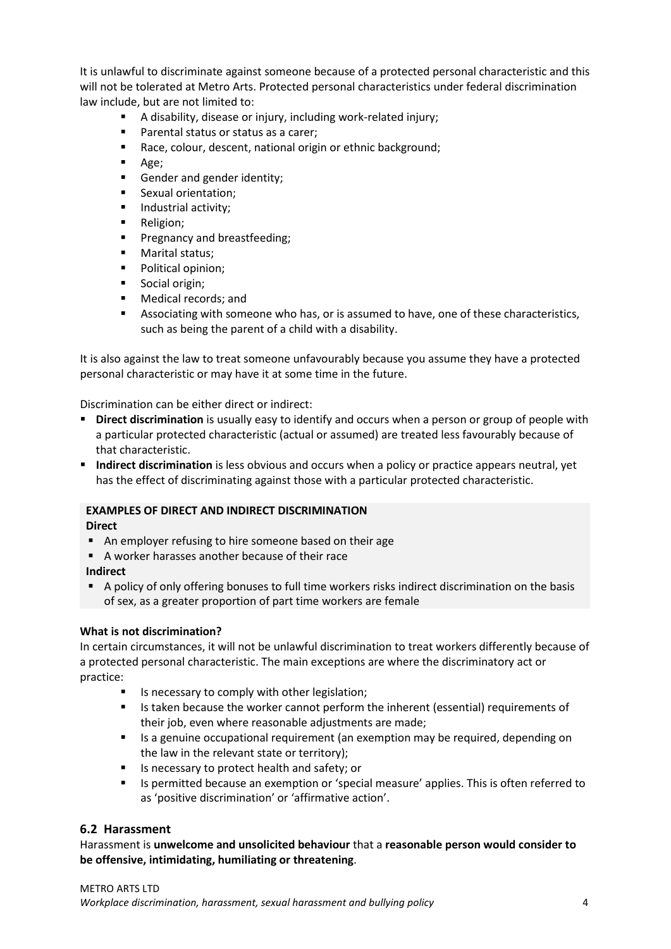It is unlawful to discriminate against someone because of a protected personal characteristic and this will not be tolerated at Metro Arts. Protected personal characteristics under federal discrimination law include, but are not limited to:

- A disability, disease or injury, including work-related injury;
- **Parental status or status as a carer;**
- Race, colour, descent, national origin or ethnic background;
- $Age;$
- Gender and gender identity;
- **Sexual orientation:**
- **Industrial activity;**
- **Religion;**
- [Pregnancy and breastfeeding;](http://www.humanrightscommission.vic.gov.au/index.php?option=com_k2&view=item&layout=item&id=id=1097&Itemid=468)
- **Marital status:**
- Political opinion:
- Social origin;
- Medical records; and
- Associating with someone who has, or is assumed to have, one of these characteristics, such as being the parent of a child with a disability.

It is also against the law to treat someone unfavourably because you assume they have a protected personal characteristic or may have it at some time in the future.

Discrimination can be either direct or indirect:

- **Direct discrimination** is usually easy to identify and occurs when a person or group of people with a particular protected characteristic (actual or assumed) are treated less favourably because of that characteristic.
- **Indirect discrimination** is less obvious and occurs when a policy or practice appears neutral, yet has the effect of discriminating against those with a particular protected characteristic.

#### **EXAMPLES OF DIRECT AND INDIRECT DISCRIMINATION**

**Direct**

- An employer refusing to hire someone based on their age
- A worker harasses another because of their race
- **Indirect**
- A policy of only offering bonuses to full time workers risks indirect discrimination on the basis of sex, as a greater proportion of part time workers are female

#### **What is not discrimination?**

In certain circumstances, it will not be unlawful discrimination to treat workers differently because of a protected personal characteristic. The main exceptions are where the discriminatory act or practice:

- Is necessary to comply with other legislation;
- Is taken because the worker cannot perform the inherent (essential) requirements of their job, even where reasonable adjustments are made;
- Is a genuine occupational requirement (an exemption may be required, depending on the law in the relevant state or territory);
- Is necessary to protect health and safety; or
- Is permitted because an exemption or 'special measure' applies. This is often referred to as 'positive discrimination' or 'affirmative action'.

#### **6.2 Harassment**

Harassment is **unwelcome and unsolicited behaviour** that a **reasonable person would consider to be offensive, intimidating, humiliating or threatening**.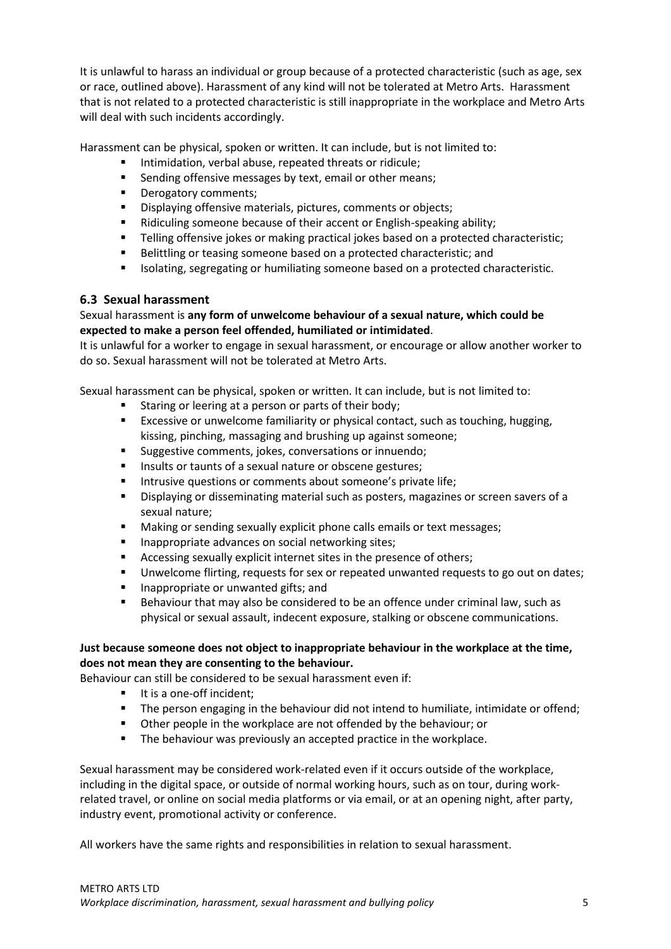It is unlawful to harass an individual or group because of a protected characteristic (such as age, sex or race, outlined above). Harassment of any kind will not be tolerated at Metro Arts. Harassment that is not related to a protected characteristic is still inappropriate in the workplace and Metro Arts will deal with such incidents accordingly.

Harassment can be physical, spoken or written. It can include, but is not limited to:

- Intimidation, verbal abuse, repeated threats or ridicule;
- Sending offensive messages by text, email or other means;
- **Derogatory comments;**
- Displaying offensive materials, pictures, comments or objects;
- Ridiculing someone because of their accent or English-speaking ability;
- **Telling offensive jokes or making practical jokes based on a protected characteristic;**
- Belittling or teasing someone based on a protected characteristic; and
- Isolating, segregating or humiliating someone based on a protected characteristic.

#### **6.3 Sexual harassment**

#### Sexual harassment is **any form of unwelcome behaviour of a sexual nature, which could be expected to make a person feel offended, humiliated or intimidated**.

It is unlawful for a worker to engage in sexual harassment, or encourage or allow another worker to do so. Sexual harassment will not be tolerated at Metro Arts.

Sexual harassment can be physical, spoken or written. It can include, but is not limited to:

- Staring or leering at a person or parts of their body;
- Excessive or unwelcome familiarity or physical contact, such as touching, hugging, kissing, pinching, massaging and brushing up against someone;
- **Suggestive comments, jokes, conversations or innuendo;**
- **Insults or taunts of a sexual nature or obscene gestures;**
- **Intrusive questions or comments about someone's private life;**
- Displaying or disseminating material such as posters, magazines or screen savers of a sexual nature;
- **Making or sending sexually explicit phone calls emails or text messages;**
- Inappropriate advances on social networking sites;
- Accessing sexually explicit internet sites in the presence of others;
- Unwelcome flirting, requests for sex or repeated unwanted requests to go out on dates;
- **If** Inappropriate or unwanted gifts; and
- **Behaviour that may also be considered to be an offence under criminal law, such as** physical or sexual assault, indecent exposure, stalking or obscene communications.

#### **Just because someone does not object to inappropriate behaviour in the workplace at the time, does not mean they are consenting to the behaviour.**

Behaviour can still be considered to be sexual harassment even if:

- It is a one-off incident;
- The person engaging in the behaviour did not intend to humiliate, intimidate or offend;
- Other people in the workplace are not offended by the behaviour; or
- The behaviour was previously an accepted practice in the workplace.

Sexual harassment may be considered work-related even if it occurs outside of the workplace, including in the digital space, or outside of normal working hours, such as on tour, during workrelated travel, or online on social media platforms or via email, or at an opening night, after party, industry event, promotional activity or conference.

All workers have the same rights and responsibilities in relation to sexual harassment.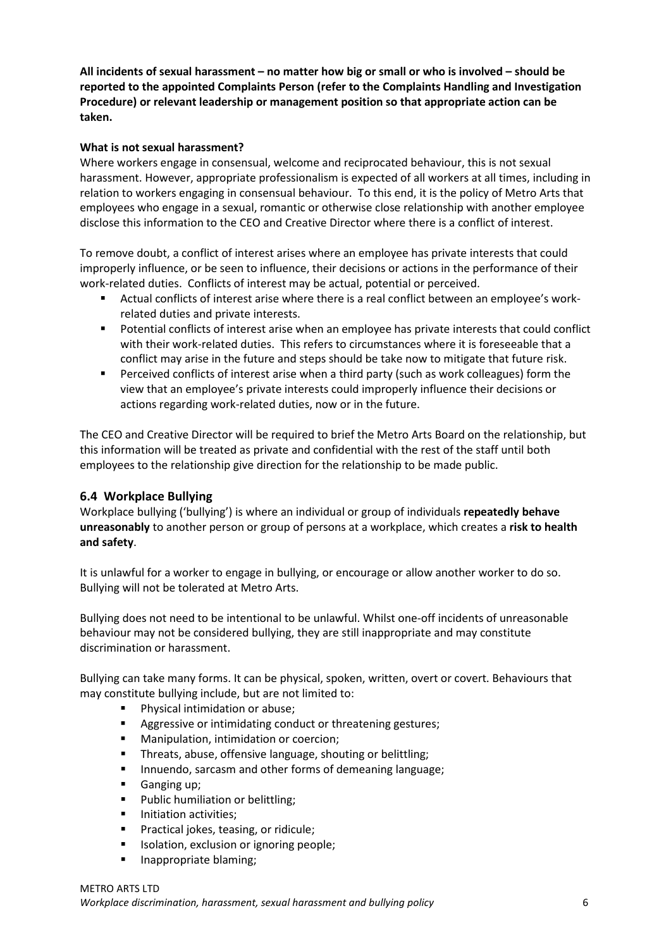**All incidents of sexual harassment – no matter how big or small or who is involved – should be reported to the appointed Complaints Person (refer to the Complaints Handling and Investigation Procedure) or relevant leadership or management position so that appropriate action can be taken.** 

#### **What is not sexual harassment?**

Where workers engage in consensual, welcome and reciprocated behaviour, this is not sexual harassment. However, appropriate professionalism is expected of all workers at all times, including in relation to workers engaging in consensual behaviour. To this end, it is the policy of Metro Arts that employees who engage in a sexual, romantic or otherwise close relationship with another employee disclose this information to the CEO and Creative Director where there is a conflict of interest.

To remove doubt, a conflict of interest arises where an employee has private interests that could improperly influence, or be seen to influence, their decisions or actions in the performance of their work-related duties. Conflicts of interest may be actual, potential or perceived.

- Actual conflicts of interest arise where there is a real conflict between an employee's workrelated duties and private interests.
- Potential conflicts of interest arise when an employee has private interests that could conflict with their work-related duties. This refers to circumstances where it is foreseeable that a conflict may arise in the future and steps should be take now to mitigate that future risk.
- Perceived conflicts of interest arise when a third party (such as work colleagues) form the view that an employee's private interests could improperly influence their decisions or actions regarding work-related duties, now or in the future.

The CEO and Creative Director will be required to brief the Metro Arts Board on the relationship, but this information will be treated as private and confidential with the rest of the staff until both employees to the relationship give direction for the relationship to be made public.

#### **6.4 Workplace Bullying**

Workplace bullying ('bullying') is where an individual or group of individuals **repeatedly behave unreasonably** to another person or group of persons at a workplace, which creates a **risk to health and safety**.

It is unlawful for a worker to engage in bullying, or encourage or allow another worker to do so. Bullying will not be tolerated at Metro Arts.

Bullying does not need to be intentional to be unlawful. Whilst one-off incidents of unreasonable behaviour may not be considered bullying, they are still inappropriate and may constitute discrimination or harassment.

Bullying can take many forms. It can be physical, spoken, written, overt or covert. Behaviours that may constitute bullying include, but are not limited to:

- **Physical intimidation or abuse;**
- Aggressive or intimidating conduct or threatening gestures;
- **Manipulation, intimidation or coercion;**
- **Threats, abuse, offensive language, shouting or belittling;**
- **Innuendo, sarcasm and other forms of demeaning language;**
- Ganging up:
- **Public humiliation or belittling;**
- **Initiation activities;**
- **Practical jokes, teasing, or ridicule;**
- **ISOLATION, EXCLUSION OF IGNORIAL PROPER** ISON
- **Inappropriate blaming:**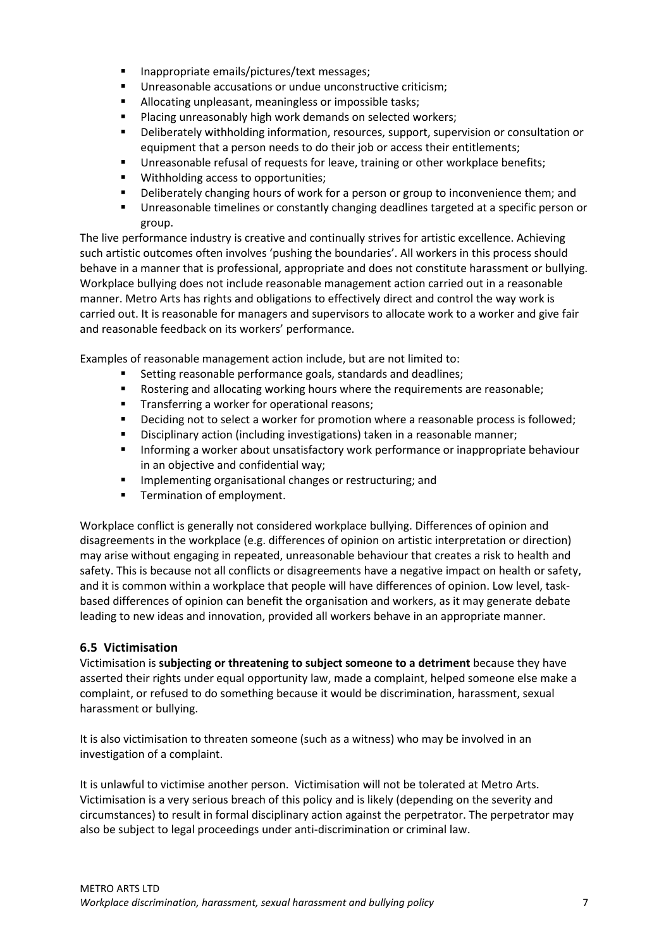- Inappropriate emails/pictures/text messages:
- Unreasonable accusations or undue unconstructive criticism;
- Allocating unpleasant, meaningless or impossible tasks;
- **Placing unreasonably high work demands on selected workers;**
- Deliberately withholding information, resources, support, supervision or consultation or equipment that a person needs to do their job or access their entitlements;
- Unreasonable refusal of requests for leave, training or other workplace benefits;
- Withholding access to opportunities;
- Deliberately changing hours of work for a person or group to inconvenience them; and
- Unreasonable timelines or constantly changing deadlines targeted at a specific person or group.

The live performance industry is creative and continually strives for artistic excellence. Achieving such artistic outcomes often involves 'pushing the boundaries'. All workers in this process should behave in a manner that is professional, appropriate and does not constitute harassment or bullying. Workplace bullying does not include reasonable management action carried out in a reasonable manner. Metro Arts has rights and obligations to effectively direct and control the way work is carried out. It is reasonable for managers and supervisors to allocate work to a worker and give fair and reasonable feedback on its workers' performance.

Examples of reasonable management action include, but are not limited to:

- **Setting reasonable performance goals, standards and deadlines;**
- **Rostering and allocating working hours where the requirements are reasonable;**
- **Transferring a worker for operational reasons:**
- **•** Deciding not to select a worker for promotion where a reasonable process is followed;
- **Disciplinary action (including investigations) taken in a reasonable manner;**
- **Informing a worker about unsatisfactory work performance or inappropriate behaviour** in an objective and confidential way;
- **Implementing organisational changes or restructuring; and**
- **Termination of employment.**

Workplace conflict is generally not considered workplace bullying. Differences of opinion and disagreements in the workplace (e.g. differences of opinion on artistic interpretation or direction) may arise without engaging in repeated, unreasonable behaviour that creates a risk to health and safety. This is because not all conflicts or disagreements have a negative impact on health or safety, and it is common within a workplace that people will have differences of opinion. Low level, taskbased differences of opinion can benefit the organisation and workers, as it may generate debate leading to new ideas and innovation, provided all workers behave in an appropriate manner.

#### **6.5 Victimisation**

Victimisation is **subjecting or threatening to subject someone to a detriment** because they have asserted their rights under equal opportunity law, made a complaint, helped someone else make a complaint, or refused to do something because it would be discrimination, harassment, sexual harassment or bullying.

It is also victimisation to threaten someone (such as a witness) who may be involved in an investigation of a complaint.

It is unlawful to victimise another person. Victimisation will not be tolerated at Metro Arts. Victimisation is a very serious breach of this policy and is likely (depending on the severity and circumstances) to result in formal disciplinary action against the perpetrator. The perpetrator may also be subject to legal proceedings under anti-discrimination or criminal law.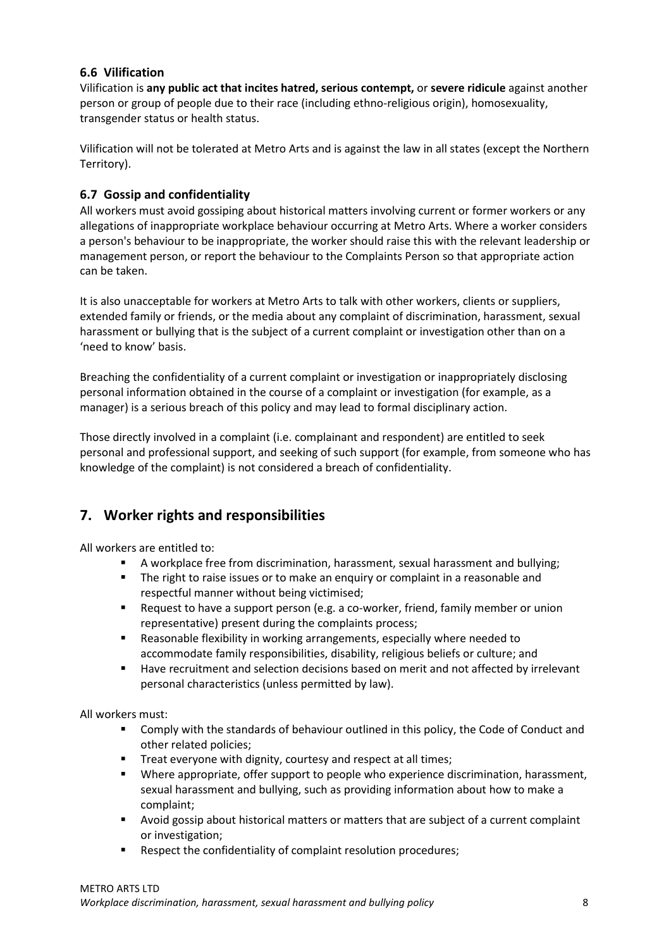#### **6.6 Vilification**

Vilification is **any public act that incites hatred, serious contempt,** or **severe ridicule** against another person or group of people due to their race (including ethno-religious origin), homosexuality, transgender status or health status.

Vilification will not be tolerated at Metro Arts and is against the law in all states (except the Northern Territory).

#### **6.7 Gossip and confidentiality**

All workers must avoid gossiping about historical matters involving current or former workers or any allegations of inappropriate workplace behaviour occurring at Metro Arts. Where a worker considers a person's behaviour to be inappropriate, the worker should raise this with the relevant leadership or management person, or report the behaviour to the Complaints Person so that appropriate action can be taken.

It is also unacceptable for workers at Metro Arts to talk with other workers, clients or suppliers, extended family or friends, or the media about any complaint of discrimination, harassment, sexual harassment or bullying that is the subject of a current complaint or investigation other than on a 'need to know' basis.

Breaching the confidentiality of a current complaint or investigation or inappropriately disclosing personal information obtained in the course of a complaint or investigation (for example, as a manager) is a serious breach of this policy and may lead to formal disciplinary action.

Those directly involved in a complaint (i.e. complainant and respondent) are entitled to seek personal and professional support, and seeking of such support (for example, from someone who has knowledge of the complaint) is not considered a breach of confidentiality.

### **7. Worker rights and responsibilities**

All workers are entitled to:

- A workplace free from discrimination, harassment, sexual harassment and bullying;
- The right to raise issues or to make an enquiry or complaint in a reasonable and respectful manner without being victimised;
- Request to have a support person (e.g. a co-worker, friend, family member or union representative) present during the complaints process;
- Reasonable flexibility in working arrangements, especially where needed to accommodate family responsibilities, disability, religious beliefs or culture; and
- Have recruitment and selection decisions based on merit and not affected by irrelevant personal characteristics (unless permitted by law).

All workers must:

- Comply with the standards of behaviour outlined in this policy, the Code of Conduct and other related policies;
- Treat everyone with dignity, courtesy and respect at all times;
- Where appropriate, offer support to people who experience discrimination, harassment, sexual harassment and bullying, such as providing information about how to make a complaint;
- Avoid gossip about historical matters or matters that are subject of a current complaint or investigation;
- **Respect the confidentiality of complaint resolution procedures;**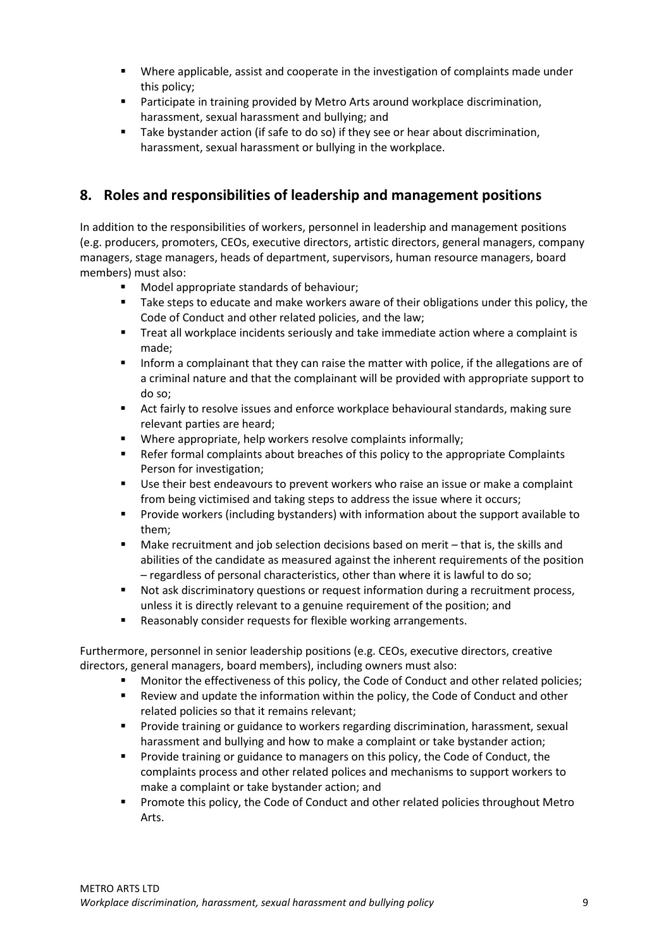- Where applicable, assist and cooperate in the investigation of complaints made under this policy;
- **Participate in training provided by Metro Arts around workplace discrimination,** harassment, sexual harassment and bullying; and
- Take bystander action (if safe to do so) if they see or hear about discrimination, harassment, sexual harassment or bullying in the workplace.

## **8. Roles and responsibilities of leadership and management positions**

In addition to the responsibilities of workers, personnel in leadership and management positions (e.g. producers, promoters, CEOs, executive directors, artistic directors, general managers, company managers, stage managers, heads of department, supervisors, human resource managers, board members) must also:

- **Model appropriate standards of behaviour;**
- Take steps to educate and make workers aware of their obligations under this policy, the Code of Conduct and other related policies, and the law;
- **Treat all workplace incidents seriously and take immediate action where a complaint is** made;
- **Inform a complainant that they can raise the matter with police, if the allegations are of** a criminal nature and that the complainant will be provided with appropriate support to do so;
- Act fairly to resolve issues and enforce workplace behavioural standards, making sure relevant parties are heard;
- Where appropriate, help workers resolve complaints informally;
- **EXECTE:** Refer formal complaints about breaches of this policy to the appropriate Complaints Person for investigation;
- **Use their best endeavours to prevent workers who raise an issue or make a complaint** from being victimised and taking steps to address the issue where it occurs;
- Provide workers (including bystanders) with information about the support available to them;
- Make recruitment and job selection decisions based on merit that is, the skills and abilities of the candidate as measured against the inherent requirements of the position – regardless of personal characteristics, other than where it is lawful to do so;
- **Not ask discriminatory questions or request information during a recruitment process,** unless it is directly relevant to a genuine requirement of the position; and
- **Reasonably consider requests for flexible working arrangements.**

Furthermore, personnel in senior leadership positions (e.g. CEOs, executive directors, creative directors, general managers, board members), including owners must also:

- Monitor the effectiveness of this policy, the Code of Conduct and other related policies;
- Review and update the information within the policy, the Code of Conduct and other related policies so that it remains relevant;
- Provide training or guidance to workers regarding discrimination, harassment, sexual harassment and bullying and how to make a complaint or take bystander action;
- Provide training or guidance to managers on this policy, the Code of Conduct, the complaints process and other related polices and mechanisms to support workers to make a complaint or take bystander action; and
- **Promote this policy, the Code of Conduct and other related policies throughout Metro** Arts.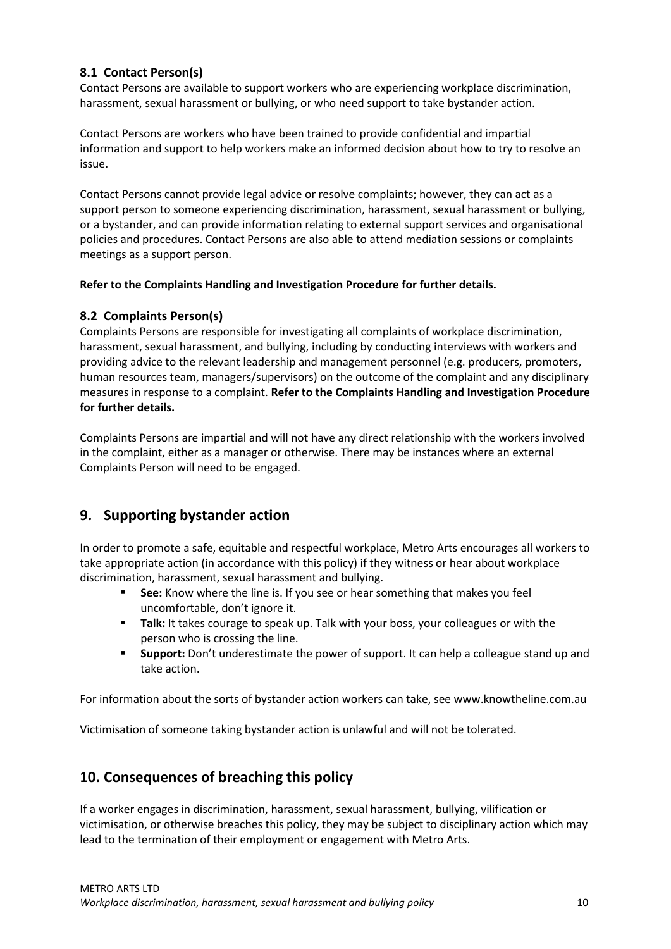#### **8.1 Contact Person(s)**

Contact Persons are available to support workers who are experiencing workplace discrimination, harassment, sexual harassment or bullying, or who need support to take bystander action.

Contact Persons are workers who have been trained to provide confidential and impartial information and support to help workers make an informed decision about how to try to resolve an issue.

Contact Persons cannot provide legal advice or resolve complaints; however, they can act as a support person to someone experiencing discrimination, harassment, sexual harassment or bullying, or a bystander, and can provide information relating to external support services and organisational policies and procedures. Contact Persons are also able to attend mediation sessions or complaints meetings as a support person.

#### **Refer to the Complaints Handling and Investigation Procedure for further details.**

#### **8.2 Complaints Person(s)**

Complaints Persons are responsible for investigating all complaints of workplace discrimination, harassment, sexual harassment, and bullying, including by conducting interviews with workers and providing advice to the relevant leadership and management personnel (e.g. producers, promoters, human resources team, managers/supervisors) on the outcome of the complaint and any disciplinary measures in response to a complaint. **Refer to the Complaints Handling and Investigation Procedure for further details.**

Complaints Persons are impartial and will not have any direct relationship with the workers involved in the complaint, either as a manager or otherwise. There may be instances where an external Complaints Person will need to be engaged.

### **9. Supporting bystander action**

In order to promote a safe, equitable and respectful workplace, Metro Arts encourages all workers to take appropriate action (in accordance with this policy) if they witness or hear about workplace discrimination, harassment, sexual harassment and bullying.

- **See:** Know where the line is. If you see or hear something that makes you feel uncomfortable, don't ignore it.
- **Talk:** It takes courage to speak up. Talk with your boss, your colleagues or with the person who is crossing the line.
- **Support:** Don't underestimate the power of support. It can help a colleague stand up and take action.

For information about the sorts of bystander action workers can take, se[e www.knowtheline.com.au](http://www.knowtheline.com.au/)

Victimisation of someone taking bystander action is unlawful and will not be tolerated.

### **10. Consequences of breaching this policy**

If a worker engages in discrimination, harassment, sexual harassment, bullying, vilification or victimisation, or otherwise breaches this policy, they may be subject to disciplinary action which may lead to the termination of their employment or engagement with Metro Arts.